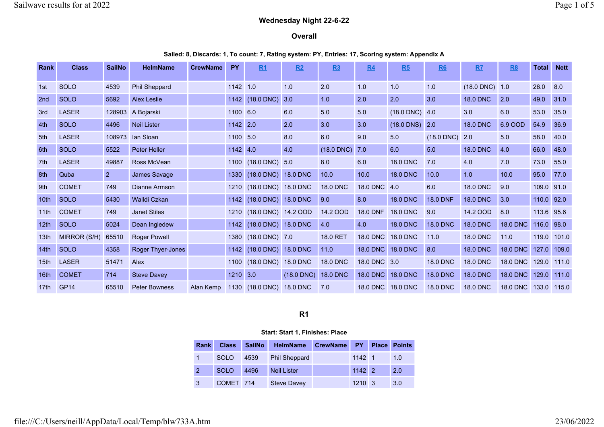## Wednesday Night 22-6-22

#### Overall

Sailed: 8, Discards: 1, To count: 7, Rating system: PY, Entries: 17, Scoring system: Appendix A

| Rank             | <b>Class</b>     | <b>SailNo</b> | <b>HelmName</b>      | <b>CrewName</b> | <b>PY</b> | R <sub>1</sub>           | R2              | R3              | <b>R4</b>         | R5              | <b>R6</b>       | R7                  | R <sub>8</sub>  | Total | <b>Nett</b> |
|------------------|------------------|---------------|----------------------|-----------------|-----------|--------------------------|-----------------|-----------------|-------------------|-----------------|-----------------|---------------------|-----------------|-------|-------------|
| 1st              | SOLO             | 4539          | <b>Phil Sheppard</b> |                 | 1142 1.0  |                          | 1.0             | 2.0             | 1.0               | 1.0             | 1.0             | $(18.0$ DNC $)$ 1.0 |                 | 26.0  | 8.0         |
| 2nd              | <b>SOLO</b>      | 5692          | <b>Alex Leslie</b>   |                 | 1142      | $(18.0$ DNC)             | 3.0             | 1.0             | 2.0               | 2.0             | 3.0             | <b>18.0 DNC</b>     | 2.0             | 49.0  | 31.0        |
| 3rd              | <b>LASER</b>     | 128903        | A Bojarski           |                 | 1100 6.0  |                          | 6.0             | 5.0             | 5.0               | $(18.0$ DNC)    | 4.0             | 3.0                 | 6.0             | 53.0  | 35.0        |
| 4th              | <b>SOLO</b>      | 4496          | <b>Neil Lister</b>   |                 | 1142 2.0  |                          | 2.0             | 3.0             | 3.0               | $(18.0$ DNS)    | 2.0             | <b>18.0 DNC</b>     | 6.9 OOD         | 54.9  | 36.9        |
| 5th              | <b>LASER</b>     | 108973        | lan Sloan            |                 | 1100 5.0  |                          | 8.0             | 6.0             | 9.0               | 5.0             | $(18.0$ DNC)    | 2.0                 | 5.0             | 58.0  | 40.0        |
| 6th              | <b>SOLO</b>      | 5522          | <b>Peter Heller</b>  |                 | 1142 4.0  |                          | 4.0             | $(18.0$ DNC)    | 7.0               | 6.0             | 5.0             | <b>18.0 DNC</b>     | 4.0             | 66.0  | 48.0        |
| 7th              | <b>LASER</b>     | 49887         | Ross McVean          |                 |           | 1100 (18.0 DNC)          | 5.0             | 8.0             | 6.0               | <b>18.0 DNC</b> | 7.0             | 4.0                 | 7.0             | 73.0  | 55.0        |
| 8th              | Quba             | 2             | James Savage         |                 | 1330      | $(18.0$ DNC)             | <b>18.0 DNC</b> | 10.0            | 10.0              | <b>18.0 DNC</b> | 10.0            | 1.0                 | 10.0            | 95.0  | 77.0        |
| 9th              | <b>COMET</b>     | 749           | Dianne Armson        |                 |           | 1210 (18.0 DNC) 18.0 DNC |                 | <b>18.0 DNC</b> | 18.0 DNC          | 4.0             | 6.0             | <b>18.0 DNC</b>     | 9.0             | 109.0 | 91.0        |
| 10 <sub>th</sub> | <b>SOLO</b>      | 5430          | <b>Walldi Czkan</b>  |                 | 1142      | (18.0 DNC) 18.0 DNC      |                 | 9.0             | 8.0               | <b>18.0 DNC</b> | <b>18.0 DNF</b> | <b>18.0 DNC</b>     | 3.0             | 110.0 | 92.0        |
| 11th             | <b>COMET</b>     | 749           | <b>Janet Stiles</b>  |                 |           | 1210 (18.0 DNC) 14.2 OOD |                 | 14.2 OOD        | <b>18.0 DNF</b>   | <b>18.0 DNC</b> | 9.0             | 14.2 OOD            | 8.0             | 113.6 | 95.6        |
| 12 <sub>th</sub> | <b>SOLO</b>      | 5024          | Dean Ingledew        |                 | 1142      | (18.0 DNC) 18.0 DNC      |                 | 4.0             | 4.0               | <b>18.0 DNC</b> | <b>18.0 DNC</b> | <b>18.0 DNC</b>     | <b>18.0 DNC</b> | 116.0 | 98.0        |
| 13th             | MIRROR (S/H)     | 65510         | <b>Roger Powell</b>  |                 |           | 1380 (18.0 DNC) 7.0      |                 | 18.0 RET        | <b>18.0 DNC</b>   | <b>18.0 DNC</b> | 11.0            | <b>18.0 DNC</b>     | 11.0            | 119.0 | 101.0       |
| 14th             | <b>SOLO</b>      | 4358          | Roger Thyer-Jones    |                 | 1142      | (18.0 DNC) 18.0 DNC      |                 | 11.0            | <b>18.0 DNC</b>   | <b>18.0 DNC</b> | 8.0             | <b>18.0 DNC</b>     | 18.0 DNC        | 127.0 | 109.0       |
| 15 <sub>th</sub> | <b>LASER</b>     | 51471         | Alex                 |                 | 1100      | (18.0 DNC) 18.0 DNC      |                 | <b>18.0 DNC</b> | 18.0 DNC 3.0      |                 | <b>18.0 DNC</b> | <b>18.0 DNC</b>     | 18.0 DNC        | 129.0 | 111.0       |
| 16 <sub>th</sub> | <b>COMET</b>     | 714           | <b>Steve Davey</b>   |                 | 1210 3.0  |                          | $(18.0$ DNC)    | <b>18.0 DNC</b> | 18.0 DNC          | <b>18.0 DNC</b> | <b>18.0 DNC</b> | <b>18.0 DNC</b>     | <b>18.0 DNC</b> | 129.0 | 111.0       |
| 17th             | GP <sub>14</sub> | 65510         | <b>Peter Bowness</b> | Alan Kemp       |           | 1130 (18.0 DNC)          | <b>18.0 DNC</b> | 7.0             | 18.0 DNC 18.0 DNC |                 | <b>18.0 DNC</b> | <b>18.0 DNC</b>     | 18.0 DNC        | 133.0 | 115.0       |

## R1

#### Start: Start 1, Finishes: Place

| Rank | <b>Class</b> | SailNo | HelmName             | <b>CrewName</b> | <b>PY</b>      | <b>Place</b> | <b>Points</b> |
|------|--------------|--------|----------------------|-----------------|----------------|--------------|---------------|
|      | <b>SOLO</b>  | 4539   | <b>Phil Sheppard</b> |                 | 1142 1         |              | 1.0           |
|      | <b>SOLO</b>  | 4496   | <b>Neil Lister</b>   |                 | $1142$ 2       |              | 2.0           |
| 3    | COMET 714    |        | Steve Davey          |                 | $1210 \quad 3$ |              | 3.0           |

file:///C:/Users/neill/AppData/Local/Temp/blw733A.htm 23/06/2022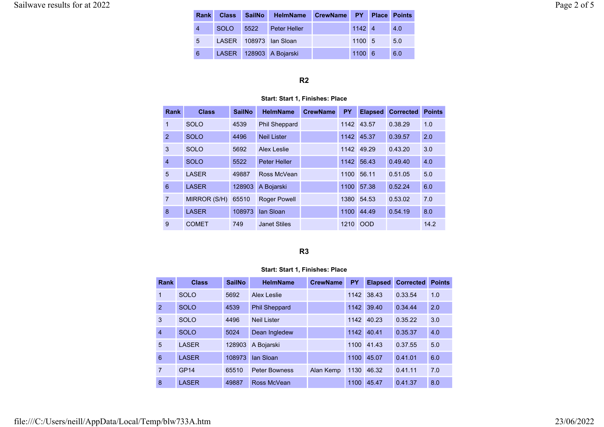| <b>Rank</b>    | <b>Class</b> | SailNo HelmName CrewName PY Place Points |                |     |
|----------------|--------------|------------------------------------------|----------------|-----|
| $\overline{4}$ | <b>SOLO</b>  | 5522 Peter Heller                        | $1142 \quad 4$ | 4.0 |
| 5              |              | LASER 108973 Ian Sloan                   | 1100 5         | 5.0 |
| 6              |              | LASER 128903 A Bojarski                  | $1100 \ 6$     | 6.0 |

## R2

#### Start: Start 1, Finishes: Place

| Rank            | <b>Class</b> | <b>SailNo</b> | <b>HelmName</b>      | <b>CrewName</b> | PY   | <b>Elapsed</b> | <b>Corrected</b> | <b>Points</b> |
|-----------------|--------------|---------------|----------------------|-----------------|------|----------------|------------------|---------------|
| 1               | <b>SOLO</b>  | 4539          | <b>Phil Sheppard</b> |                 |      | 1142 43.57     | 0.38.29          | 1.0           |
| $\mathfrak{p}$  | <b>SOLO</b>  | 4496          | <b>Neil Lister</b>   |                 |      | 1142 45.37     | 0.39.57          | 2.0           |
| 3               | <b>SOLO</b>  | 5692          | Alex Leslie          |                 | 1142 | 49.29          | 0.43.20          | 3.0           |
| $\overline{4}$  | <b>SOLO</b>  | 5522          | <b>Peter Heller</b>  |                 | 1142 | 56.43          | 0.49.40          | 4.0           |
| 5               | <b>LASER</b> | 49887         | Ross McVean          |                 | 1100 | 56.11          | 0.51.05          | 5.0           |
| $6\phantom{1}6$ | <b>LASER</b> | 128903        | A Bojarski           |                 | 1100 | 57.38          | 0.52.24          | 6.0           |
| 7               | MIRROR (S/H) | 65510         | Roger Powell         |                 | 1380 | 54.53          | 0.53.02          | 7.0           |
| 8               | <b>LASER</b> | 108973        | lan Sloan            |                 | 1100 | 44.49          | 0.54.19          | 8.0           |
| 9               | <b>COMET</b> | 749           | <b>Janet Stiles</b>  |                 |      | 1210 OOD       |                  | 14.2          |

# R3

## Start: Start 1, Finishes: Place

| <b>Rank</b>    | <b>Class</b> | <b>SailNo</b> | <b>HelmName</b>      | <b>CrewName</b> | <b>PY</b> | <b>Elapsed</b> | <b>Corrected</b> | <b>Points</b> |
|----------------|--------------|---------------|----------------------|-----------------|-----------|----------------|------------------|---------------|
| 1              | <b>SOLO</b>  | 5692          | Alex Leslie          |                 | 1142      | 38.43          | 0.33.54          | 1.0           |
| $\mathcal{P}$  | <b>SOLO</b>  | 4539          | <b>Phil Sheppard</b> |                 | 1142      | 39.40          | 0.34.44          | 2.0           |
| 3              | <b>SOLO</b>  | 4496          | Neil Lister          |                 | 1142      | 40.23          | 0.35.22          | 3.0           |
| $\overline{4}$ | <b>SOLO</b>  | 5024          | Dean Ingledew        |                 | 1142      | 40.41          | 0.35.37          | 4.0           |
| 5              | <b>LASER</b> | 128903        | A Bojarski           |                 | 1100      | 41.43          | 0.37.55          | 5.0           |
| 6              | <b>LASER</b> | 108973        | lan Sloan            |                 | 1100      | 45.07          | 0.41.01          | 6.0           |
| 7              | GP14         | 65510         | <b>Peter Bowness</b> | Alan Kemp       | 1130      | 46.32          | 0.41.11          | 7.0           |
| 8              | <b>LASER</b> | 49887         | Ross McVean          |                 | 1100      | 45.47          | 0.41.37          | 8.0           |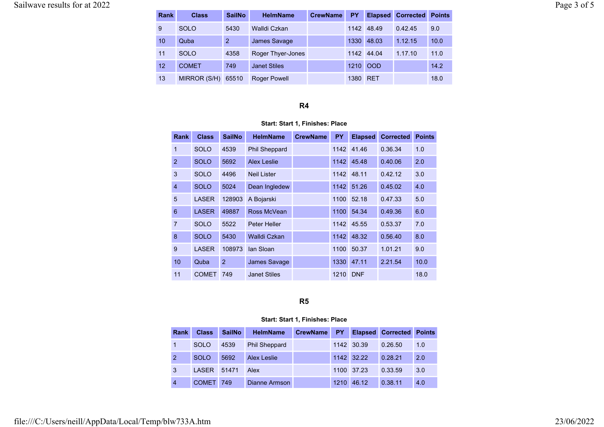| <b>Rank</b> | <b>Class</b> | <b>SailNo</b>  | <b>HelmName</b>     | <b>CrewName</b> | PΥ       | <b>Elapsed</b> | <b>Corrected Points</b> |      |
|-------------|--------------|----------------|---------------------|-----------------|----------|----------------|-------------------------|------|
| 9           | <b>SOLO</b>  | 5430           | Walldi Czkan        |                 |          | 1142 48.49     | 0.42.45                 | 9.0  |
| 10          | Quba         | $\overline{2}$ | James Savage        |                 | 1330     | 48.03          | 1.12.15                 | 10.0 |
| 11          | <b>SOLO</b>  | 4358           | Roger Thyer-Jones   |                 |          | 1142 44.04     | 1.17.10                 | 11.0 |
| 12          | <b>COMET</b> | 749            | <b>Janet Stiles</b> |                 | 1210     | <b>OOD</b>     |                         | 14.2 |
| 13          | MIRROR (S/H) | 65510          | <b>Roger Powell</b> |                 | 1380 RET |                |                         | 18.0 |

### R4

#### Start: Start 1, Finishes: Place

| Rank            | <b>Class</b> | <b>SailNo</b>  | <b>HelmName</b>      | <b>CrewName</b> | <b>PY</b> | <b>Elapsed</b> | <b>Corrected</b> | <b>Points</b> |
|-----------------|--------------|----------------|----------------------|-----------------|-----------|----------------|------------------|---------------|
| 1               | <b>SOLO</b>  | 4539           | <b>Phil Sheppard</b> |                 |           | 1142 41.46     | 0.36.34          | 1.0           |
| $\overline{2}$  | <b>SOLO</b>  | 5692           | Alex Leslie          |                 | 1142      | 45.48          | 0.40.06          | 2.0           |
| 3               | <b>SOLO</b>  | 4496           | <b>Neil Lister</b>   |                 | 1142      | 48.11          | 0.42.12          | 3.0           |
| $\overline{4}$  | <b>SOLO</b>  | 5024           | Dean Ingledew        |                 | 1142      | 51.26          | 0.45.02          | 4.0           |
| 5               | <b>LASER</b> | 128903         | A Bojarski           |                 | 1100      | 52.18          | 0.47.33          | 5.0           |
| $6\phantom{1}6$ | <b>LASER</b> | 49887          | Ross McVean          |                 | 1100      | 54.34          | 0.49.36          | 6.0           |
| $\overline{7}$  | <b>SOLO</b>  | 5522           | Peter Heller         |                 |           | 1142 45.55     | 0.53.37          | 7.0           |
| 8               | <b>SOLO</b>  | 5430           | Walldi Czkan         |                 | 1142      | 48.32          | 0.56.40          | 8.0           |
| 9               | <b>LASER</b> | 108973         | lan Sloan            |                 | 1100      | 50.37          | 1.01.21          | 9.0           |
| 10              | Quba         | $\overline{2}$ | <b>James Savage</b>  |                 | 1330      | 47.11          | 2.21.54          | 10.0          |
| 11              | <b>COMET</b> | 749            | <b>Janet Stiles</b>  |                 | 1210      | <b>DNF</b>     |                  | 18.0          |

# R5

#### Start: Start 1, Finishes: Place

| <b>Rank</b>    | <b>Class</b> | <b>SailNo</b> | <b>HelmName</b>      | <b>CrewName</b> | PY. |            | <b>Elapsed Corrected</b> | <b>Points</b> |
|----------------|--------------|---------------|----------------------|-----------------|-----|------------|--------------------------|---------------|
|                | <b>SOLO</b>  | 4539          | <b>Phil Sheppard</b> |                 |     | 1142 30.39 | 0.26.50                  | 1.0           |
| $\overline{2}$ | <b>SOLO</b>  | 5692          | <b>Alex Leslie</b>   |                 |     | 1142 32.22 | 0.28.21                  | 2.0           |
| 3              | <b>LASER</b> | 51471         | Alex                 |                 |     | 1100 37.23 | 0.33.59                  | 3.0           |
| $\overline{4}$ | <b>COMET</b> | 749           | Dianne Armson        |                 |     | 1210 46.12 | 0.38.11                  | 4.0           |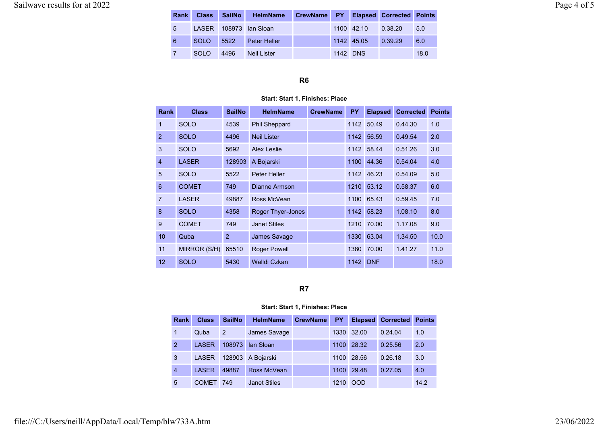# Sailwave results for at 2022 Page 4 of 5

| <b>Rank</b> | <b>Class</b> | <b>SailNo</b> | <b>HelmName</b>        | CrewName PY |          |            | <b>Elapsed Corrected Points</b> |      |
|-------------|--------------|---------------|------------------------|-------------|----------|------------|---------------------------------|------|
| 5           |              |               | LASER 108973 Ian Sloan |             |          | 1100 42.10 | 0.38.20                         | 5.0  |
| 6           | <b>SOLO</b>  | 5522          | Peter Heller           |             |          | 1142 45.05 | 0.39.29                         | 6.0  |
|             | SOLO.        | 4496          | Neil Lister            |             | 1142 DNS |            |                                 | 18.0 |

#### R6

#### Start: Start 1, Finishes: Place

| <b>Rank</b>    | <b>Class</b> | <b>SailNo</b>  | <b>HelmName</b>      | <b>CrewName</b> | <b>PY</b> | <b>Elapsed</b> | <b>Corrected</b> | <b>Points</b> |
|----------------|--------------|----------------|----------------------|-----------------|-----------|----------------|------------------|---------------|
| 1              | <b>SOLO</b>  | 4539           | <b>Phil Sheppard</b> |                 | 1142      | 50.49          | 0.44.30          | 1.0           |
| 2              | <b>SOLO</b>  | 4496           | <b>Neil Lister</b>   |                 | 1142      | 56.59          | 0.49.54          | 2.0           |
| 3              | <b>SOLO</b>  | 5692           | Alex Leslie          |                 | 1142      | 58.44          | 0.51.26          | 3.0           |
| $\overline{4}$ | <b>LASER</b> | 128903         | A Bojarski           |                 | 1100      | 44.36          | 0.54.04          | 4.0           |
| 5              | <b>SOLO</b>  | 5522           | Peter Heller         |                 | 1142      | 46.23          | 0.54.09          | 5.0           |
| 6              | <b>COMET</b> | 749            | Dianne Armson        |                 | 1210      | 53.12          | 0.58.37          | 6.0           |
| 7              | <b>LASER</b> | 49887          | Ross McVean          |                 | 1100      | 65.43          | 0.59.45          | 7.0           |
| 8              | <b>SOLO</b>  | 4358           | Roger Thyer-Jones    |                 | 1142      | 58.23          | 1.08.10          | 8.0           |
| 9              | <b>COMET</b> | 749            | <b>Janet Stiles</b>  |                 | 1210      | 70.00          | 1.17.08          | 9.0           |
| 10             | Quba         | $\overline{2}$ | James Savage         |                 | 1330      | 63.04          | 1.34.50          | 10.0          |
| 11             | MIRROR (S/H) | 65510          | <b>Roger Powell</b>  |                 | 1380      | 70.00          | 1.41.27          | 11.0          |
| 12             | <b>SOLO</b>  | 5430           | Walldi Czkan         |                 | 1142      | <b>DNF</b>     |                  | 18.0          |

# R7

#### Start: Start 1, Finishes: Place

| Rank           | <b>Class</b> | <b>SailNo</b>  | <b>HelmName</b>     | <b>CrewName</b> | <b>PY</b> | <b>Elapsed</b> | <b>Corrected</b> | <b>Points</b> |
|----------------|--------------|----------------|---------------------|-----------------|-----------|----------------|------------------|---------------|
|                | Quba         | $\overline{2}$ | <b>James Savage</b> |                 | 1330      | 32.00          | 0.24.04          | 1.0           |
| $\overline{2}$ | <b>LASER</b> | 108973         | lan Sloan           |                 | 1100      | 28.32          | 0.25.56          | 2.0           |
| 3              | <b>LASER</b> | 128903         | A Bojarski          |                 | 1100      | 28.56          | 0.26.18          | 3.0           |
| 4              | <b>LASER</b> | 49887          | Ross McVean         |                 | 1100      | 29.48          | 0.27.05          | 4.0           |
| 5              | <b>COMET</b> | 749            | <b>Janet Stiles</b> |                 | 1210      | <b>OOD</b>     |                  | 14.2          |